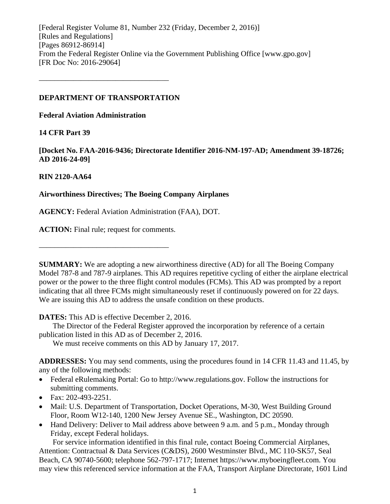[Federal Register Volume 81, Number 232 (Friday, December 2, 2016)] [Rules and Regulations] [Pages 86912-86914] From the Federal Register Online via the Government Publishing Office [www.gpo.gov] [FR Doc No: 2016-29064]

## **DEPARTMENT OF TRANSPORTATION**

––––––––––––––––––––––––––––––––––

**Federal Aviation Administration**

## **14 CFR Part 39**

**[Docket No. FAA-2016-9436; Directorate Identifier 2016-NM-197-AD; Amendment 39-18726; AD 2016-24-09]**

## **RIN 2120-AA64**

## **Airworthiness Directives; The Boeing Company Airplanes**

**AGENCY:** Federal Aviation Administration (FAA), DOT.

**ACTION:** Final rule; request for comments.

––––––––––––––––––––––––––––––––––

**SUMMARY:** We are adopting a new airworthiness directive (AD) for all The Boeing Company Model 787-8 and 787-9 airplanes. This AD requires repetitive cycling of either the airplane electrical power or the power to the three flight control modules (FCMs). This AD was prompted by a report indicating that all three FCMs might simultaneously reset if continuously powered on for 22 days. We are issuing this AD to address the unsafe condition on these products.

**DATES:** This AD is effective December 2, 2016.

The Director of the Federal Register approved the incorporation by reference of a certain publication listed in this AD as of December 2, 2016.

We must receive comments on this AD by January 17, 2017.

**ADDRESSES:** You may send comments, using the procedures found in 14 CFR 11.43 and 11.45, by any of the following methods:

- Federal eRulemaking Portal: Go to http://www.regulations.gov. Follow the instructions for submitting comments.
- Fax: 202-493-2251.
- Mail: U.S. Department of Transportation, Docket Operations, M-30, West Building Ground Floor, Room W12-140, 1200 New Jersey Avenue SE., Washington, DC 20590.
- Hand Delivery: Deliver to Mail address above between 9 a.m. and 5 p.m., Monday through Friday, except Federal holidays.

For service information identified in this final rule, contact Boeing Commercial Airplanes, Attention: Contractual & Data Services (C&DS), 2600 Westminster Blvd., MC 110-SK57, Seal Beach, CA 90740-5600; telephone 562-797-1717; Internet https://www.myboeingfleet.com. You may view this referenced service information at the FAA, Transport Airplane Directorate, 1601 Lind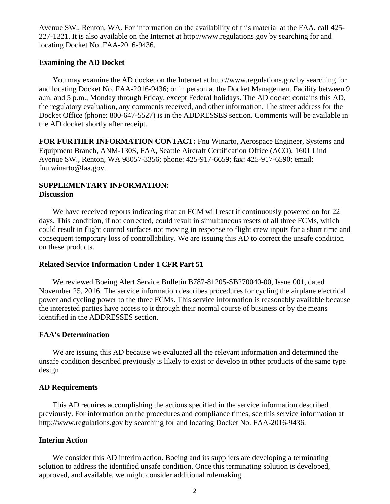Avenue SW., Renton, WA. For information on the availability of this material at the FAA, call 425- 227-1221. It is also available on the Internet at http://www.regulations.gov by searching for and locating Docket No. FAA-2016-9436.

#### **Examining the AD Docket**

You may examine the AD docket on the Internet at http://www.regulations.gov by searching for and locating Docket No. FAA-2016-9436; or in person at the Docket Management Facility between 9 a.m. and 5 p.m., Monday through Friday, except Federal holidays. The AD docket contains this AD, the regulatory evaluation, any comments received, and other information. The street address for the Docket Office (phone: 800-647-5527) is in the ADDRESSES section. Comments will be available in the AD docket shortly after receipt.

**FOR FURTHER INFORMATION CONTACT:** Fnu Winarto, Aerospace Engineer, Systems and Equipment Branch, ANM-130S, FAA, Seattle Aircraft Certification Office (ACO), 1601 Lind Avenue SW., Renton, WA 98057-3356; phone: 425-917-6659; fax: 425-917-6590; email: fnu.winarto@faa.gov.

## **SUPPLEMENTARY INFORMATION: Discussion**

We have received reports indicating that an FCM will reset if continuously powered on for 22 days. This condition, if not corrected, could result in simultaneous resets of all three FCMs, which could result in flight control surfaces not moving in response to flight crew inputs for a short time and consequent temporary loss of controllability. We are issuing this AD to correct the unsafe condition on these products.

#### **Related Service Information Under 1 CFR Part 51**

We reviewed Boeing Alert Service Bulletin B787-81205-SB270040-00, Issue 001, dated November 25, 2016. The service information describes procedures for cycling the airplane electrical power and cycling power to the three FCMs. This service information is reasonably available because the interested parties have access to it through their normal course of business or by the means identified in the ADDRESSES section.

#### **FAA's Determination**

We are issuing this AD because we evaluated all the relevant information and determined the unsafe condition described previously is likely to exist or develop in other products of the same type design.

#### **AD Requirements**

This AD requires accomplishing the actions specified in the service information described previously. For information on the procedures and compliance times, see this service information at http://www.regulations.gov by searching for and locating Docket No. FAA-2016-9436.

#### **Interim Action**

We consider this AD interim action. Boeing and its suppliers are developing a terminating solution to address the identified unsafe condition. Once this terminating solution is developed, approved, and available, we might consider additional rulemaking.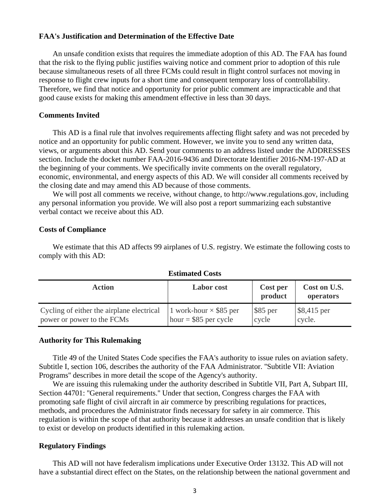## **FAA's Justification and Determination of the Effective Date**

An unsafe condition exists that requires the immediate adoption of this AD. The FAA has found that the risk to the flying public justifies waiving notice and comment prior to adoption of this rule because simultaneous resets of all three FCMs could result in flight control surfaces not moving in response to flight crew inputs for a short time and consequent temporary loss of controllability. Therefore, we find that notice and opportunity for prior public comment are impracticable and that good cause exists for making this amendment effective in less than 30 days.

## **Comments Invited**

This AD is a final rule that involves requirements affecting flight safety and was not preceded by notice and an opportunity for public comment. However, we invite you to send any written data, views, or arguments about this AD. Send your comments to an address listed under the ADDRESSES section. Include the docket number FAA-2016-9436 and Directorate Identifier 2016-NM-197-AD at the beginning of your comments. We specifically invite comments on the overall regulatory, economic, environmental, and energy aspects of this AD. We will consider all comments received by the closing date and may amend this AD because of those comments.

We will post all comments we receive, without change, to http://www.regulations.gov, including any personal information you provide. We will also post a report summarizing each substantive verbal contact we receive about this AD.

#### **Costs of Compliance**

We estimate that this AD affects 99 airplanes of U.S. registry. We estimate the following costs to comply with this AD:

| <b>Action</b>                                                           | <b>Labor</b> cost                                       | Cost per<br>product | Cost on U.S.<br>operators        |
|-------------------------------------------------------------------------|---------------------------------------------------------|---------------------|----------------------------------|
| Cycling of either the airplane electrical<br>power or power to the FCMs | 1 work-hour $\times$ \$85 per<br>hour = $$85$ per cycle | $$85$ per<br>cycle  | $\frac{1}{88,415}$ per<br>cycle. |

**Estimated Costs**

#### **Authority for This Rulemaking**

Title 49 of the United States Code specifies the FAA's authority to issue rules on aviation safety. Subtitle I, section 106, describes the authority of the FAA Administrator. ''Subtitle VII: Aviation Programs'' describes in more detail the scope of the Agency's authority.

We are issuing this rulemaking under the authority described in Subtitle VII, Part A, Subpart III, Section 44701: ''General requirements.'' Under that section, Congress charges the FAA with promoting safe flight of civil aircraft in air commerce by prescribing regulations for practices, methods, and procedures the Administrator finds necessary for safety in air commerce. This regulation is within the scope of that authority because it addresses an unsafe condition that is likely to exist or develop on products identified in this rulemaking action.

#### **Regulatory Findings**

This AD will not have federalism implications under Executive Order 13132. This AD will not have a substantial direct effect on the States, on the relationship between the national government and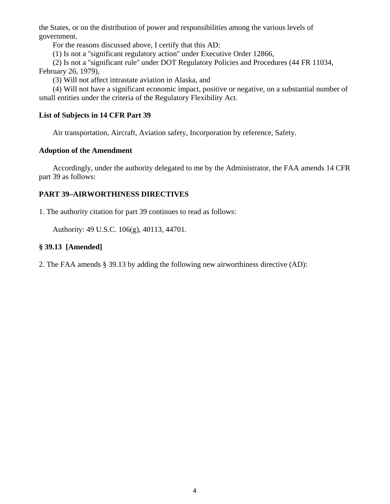the States, or on the distribution of power and responsibilities among the various levels of government.

For the reasons discussed above, I certify that this AD:

(1) Is not a ''significant regulatory action'' under Executive Order 12866,

(2) Is not a ''significant rule'' under DOT Regulatory Policies and Procedures (44 FR 11034, February 26, 1979),

(3) Will not affect intrastate aviation in Alaska, and

(4) Will not have a significant economic impact, positive or negative, on a substantial number of small entities under the criteria of the Regulatory Flexibility Act.

## **List of Subjects in 14 CFR Part 39**

Air transportation, Aircraft, Aviation safety, Incorporation by reference, Safety.

## **Adoption of the Amendment**

Accordingly, under the authority delegated to me by the Administrator, the FAA amends 14 CFR part 39 as follows:

## **PART 39–AIRWORTHINESS DIRECTIVES**

1. The authority citation for part 39 continues to read as follows:

Authority: 49 U.S.C. 106(g), 40113, 44701.

# **§ 39.13 [Amended]**

2. The FAA amends § 39.13 by adding the following new airworthiness directive (AD):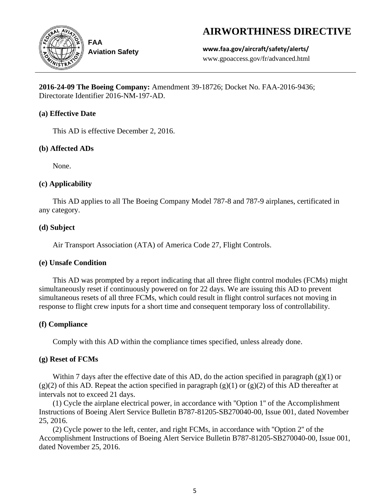# **AIRWORTHINESS DIRECTIVE**



**Aviation Safety**

**www.faa.gov/aircraft/safety/alerts/** www.gpoaccess.gov/fr/advanced.html

**2016-24-09 The Boeing Company:** Amendment 39-18726; Docket No. FAA-2016-9436; Directorate Identifier 2016-NM-197-AD.

# **(a) Effective Date**

This AD is effective December 2, 2016.

# **(b) Affected ADs**

None.

# **(c) Applicability**

This AD applies to all The Boeing Company Model 787-8 and 787-9 airplanes, certificated in any category.

# **(d) Subject**

Air Transport Association (ATA) of America Code 27, Flight Controls.

# **(e) Unsafe Condition**

This AD was prompted by a report indicating that all three flight control modules (FCMs) might simultaneously reset if continuously powered on for 22 days. We are issuing this AD to prevent simultaneous resets of all three FCMs, which could result in flight control surfaces not moving in response to flight crew inputs for a short time and consequent temporary loss of controllability.

# **(f) Compliance**

Comply with this AD within the compliance times specified, unless already done.

# **(g) Reset of FCMs**

Within 7 days after the effective date of this AD, do the action specified in paragraph  $(g)(1)$  or  $(g)(2)$  of this AD. Repeat the action specified in paragraph  $(g)(1)$  or  $(g)(2)$  of this AD thereafter at intervals not to exceed 21 days.

(1) Cycle the airplane electrical power, in accordance with ''Option 1'' of the Accomplishment Instructions of Boeing Alert Service Bulletin B787-81205-SB270040-00, Issue 001, dated November 25, 2016.

(2) Cycle power to the left, center, and right FCMs, in accordance with ''Option 2'' of the Accomplishment Instructions of Boeing Alert Service Bulletin B787-81205-SB270040-00, Issue 001, dated November 25, 2016.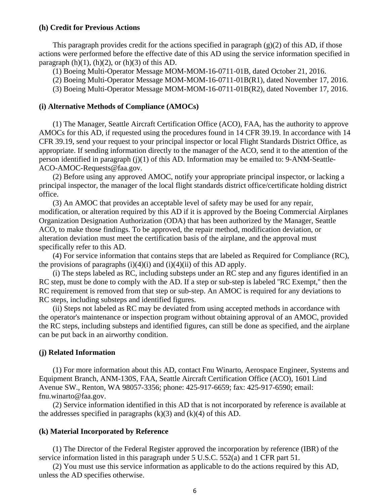#### **(h) Credit for Previous Actions**

This paragraph provides credit for the actions specified in paragraph  $(g)(2)$  of this AD, if those actions were performed before the effective date of this AD using the service information specified in paragraph  $(h)(1)$ ,  $(h)(2)$ , or  $(h)(3)$  of this AD.

(1) Boeing Multi-Operator Message MOM-MOM-16-0711-01B, dated October 21, 2016.

(2) Boeing Multi-Operator Message MOM-MOM-16-0711-01B(R1), dated November 17, 2016.

(3) Boeing Multi-Operator Message MOM-MOM-16-0711-01B(R2), dated November 17, 2016.

#### **(i) Alternative Methods of Compliance (AMOCs)**

(1) The Manager, Seattle Aircraft Certification Office (ACO), FAA, has the authority to approve AMOCs for this AD, if requested using the procedures found in 14 CFR 39.19. In accordance with 14 CFR 39.19, send your request to your principal inspector or local Flight Standards District Office, as appropriate. If sending information directly to the manager of the ACO, send it to the attention of the person identified in paragraph (j)(1) of this AD. Information may be emailed to: 9-ANM-Seattle-ACO-AMOC-Requests@faa.gov.

(2) Before using any approved AMOC, notify your appropriate principal inspector, or lacking a principal inspector, the manager of the local flight standards district office/certificate holding district office.

(3) An AMOC that provides an acceptable level of safety may be used for any repair, modification, or alteration required by this AD if it is approved by the Boeing Commercial Airplanes Organization Designation Authorization (ODA) that has been authorized by the Manager, Seattle ACO, to make those findings. To be approved, the repair method, modification deviation, or alteration deviation must meet the certification basis of the airplane, and the approval must specifically refer to this AD.

(4) For service information that contains steps that are labeled as Required for Compliance (RC), the provisions of paragraphs  $(i)(4)(i)$  and  $(i)(4)(ii)$  of this AD apply.

(i) The steps labeled as RC, including substeps under an RC step and any figures identified in an RC step, must be done to comply with the AD. If a step or sub-step is labeled ''RC Exempt,'' then the RC requirement is removed from that step or sub-step. An AMOC is required for any deviations to RC steps, including substeps and identified figures.

(ii) Steps not labeled as RC may be deviated from using accepted methods in accordance with the operator's maintenance or inspection program without obtaining approval of an AMOC, provided the RC steps, including substeps and identified figures, can still be done as specified, and the airplane can be put back in an airworthy condition.

## **(j) Related Information**

(1) For more information about this AD, contact Fnu Winarto, Aerospace Engineer, Systems and Equipment Branch, ANM-130S, FAA, Seattle Aircraft Certification Office (ACO), 1601 Lind Avenue SW., Renton, WA 98057-3356; phone: 425-917-6659; fax: 425-917-6590; email: fnu.winarto@faa.gov.

(2) Service information identified in this AD that is not incorporated by reference is available at the addresses specified in paragraphs  $(k)(3)$  and  $(k)(4)$  of this AD.

#### **(k) Material Incorporated by Reference**

(1) The Director of the Federal Register approved the incorporation by reference (IBR) of the service information listed in this paragraph under 5 U.S.C. 552(a) and 1 CFR part 51.

(2) You must use this service information as applicable to do the actions required by this AD, unless the AD specifies otherwise.